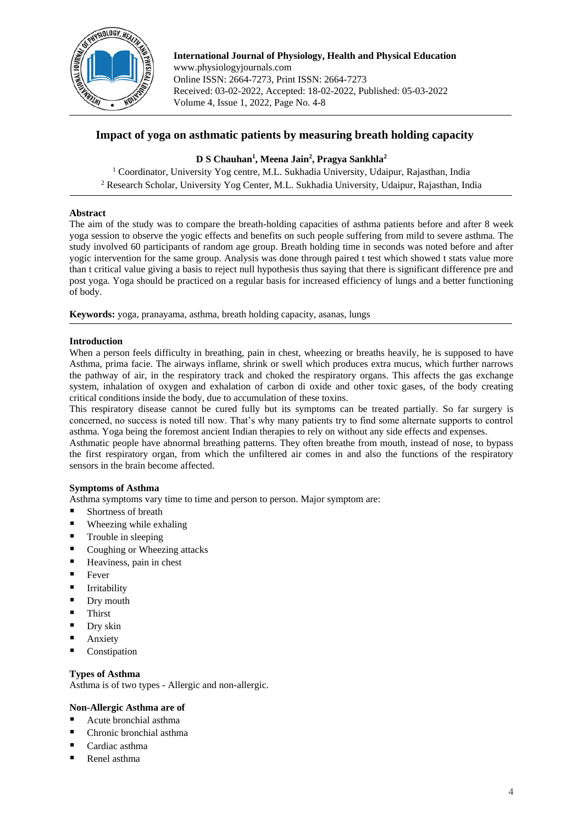

**International Journal of Physiology, Health and Physical Education** www.physiologyjournals.com Online ISSN: 2664-7273, Print ISSN: 2664-7273 Received: 03-02-2022, Accepted: 18-02-2022, Published: 05-03-2022 Volume 4, Issue 1, 2022, Page No. 4-8

# **Impact of yoga on asthmatic patients by measuring breath holding capacity**

## **D S Chauhan<sup>1</sup> , Meena Jain<sup>2</sup> , Pragya Sankhla<sup>2</sup>**

<sup>1</sup> Coordinator, University Yog centre, M.L. Sukhadia University, Udaipur, Rajasthan, India <sup>2</sup> Research Scholar, University Yog Center, M.L. Sukhadia University, Udaipur, Rajasthan, India

## **Abstract**

The aim of the study was to compare the breath-holding capacities of asthma patients before and after 8 week yoga session to observe the yogic effects and benefits on such people suffering from mild to severe asthma. The study involved 60 participants of random age group. Breath holding time in seconds was noted before and after yogic intervention for the same group. Analysis was done through paired t test which showed t stats value more than t critical value giving a basis to reject null hypothesis thus saying that there is significant difference pre and post yoga. Yoga should be practiced on a regular basis for increased efficiency of lungs and a better functioning of body.

**Keywords:** yoga, pranayama, asthma, breath holding capacity, asanas, lungs

## **Introduction**

When a person feels difficulty in breathing, pain in chest, wheezing or breaths heavily, he is supposed to have Asthma, prima facie. The airways inflame, shrink or swell which produces extra mucus, which further narrows the pathway of air, in the respiratory track and choked the respiratory organs. This affects the gas exchange system, inhalation of oxygen and exhalation of carbon di oxide and other toxic gases, of the body creating critical conditions inside the body, due to accumulation of these toxins.

This respiratory disease cannot be cured fully but its symptoms can be treated partially. So far surgery is concerned, no success is noted till now. That's why many patients try to find some alternate supports to control asthma. Yoga being the foremost ancient Indian therapies to rely on without any side effects and expenses.

Asthmatic people have abnormal breathing patterns. They often breathe from mouth, instead of nose, to bypass the first respiratory organ, from which the unfiltered air comes in and also the functions of the respiratory sensors in the brain become affected.

## **Symptoms of Asthma**

Asthma symptoms vary time to time and person to person. Major symptom are:

- Shortness of breath
- Wheezing while exhaling
- Trouble in sleeping
- Coughing or Wheezing attacks
- Heaviness, pain in chest
- **Fever**
- **■** Irritability
- Dry mouth
- **Thirst**
- Dry skin
- Anxiety
- **Constipation**

### **Types of Asthma**

Asthma is of two types - Allergic and non-allergic.

## **Non-Allergic Asthma are of**

- Acute bronchial asthma
- Chronic bronchial asthma
- Cardiac asthma
- Renel asthma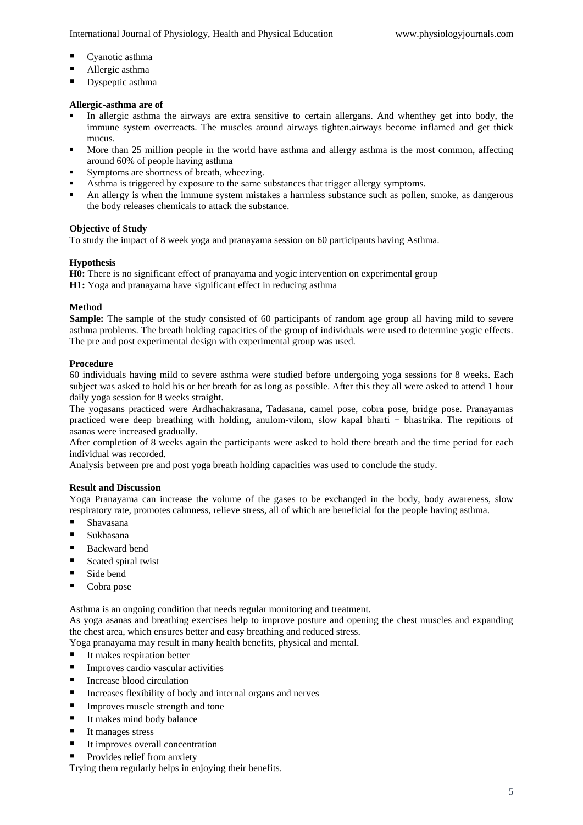International Journal of Physiology, Health and Physical Education www.physiologyjournals.com

- Cyanotic asthma
- Allergic asthma
- Dyspeptic asthma

#### **Allergic-asthma are of**

- In allergic asthma the airways are extra sensitive to certain allergans. And whenthey get into body, the immune system overreacts. The muscles around airways tighten.airways become inflamed and get thick mucus.
- More than 25 million people in the world have asthma and allergy asthma is the most common, affecting around 60% of people having asthma
- Symptoms are shortness of breath, wheezing.
- Asthma is triggered by exposure to the same substances that trigger allergy symptoms.
- An allergy is when the immune system mistakes a harmless substance such as pollen, smoke, as dangerous the body releases chemicals to attack the substance.

#### **Objective of Study**

To study the impact of 8 week yoga and pranayama session on 60 participants having Asthma.

#### **Hypothesis**

**H0:** There is no significant effect of pranayama and yogic intervention on experimental group

**H1:** Yoga and pranayama have significant effect in reducing asthma

#### **Method**

**Sample:** The sample of the study consisted of 60 participants of random age group all having mild to severe asthma problems. The breath holding capacities of the group of individuals were used to determine yogic effects. The pre and post experimental design with experimental group was used.

#### **Procedure**

60 individuals having mild to severe asthma were studied before undergoing yoga sessions for 8 weeks. Each subject was asked to hold his or her breath for as long as possible. After this they all were asked to attend 1 hour daily yoga session for 8 weeks straight.

The yogasans practiced were Ardhachakrasana, Tadasana, camel pose, cobra pose, bridge pose. Pranayamas practiced were deep breathing with holding, anulom-vilom, slow kapal bharti + bhastrika. The repitions of asanas were increased gradually.

After completion of 8 weeks again the participants were asked to hold there breath and the time period for each individual was recorded.

Analysis between pre and post yoga breath holding capacities was used to conclude the study.

#### **Result and Discussion**

Yoga Pranayama can increase the volume of the gases to be exchanged in the body, body awareness, slow respiratory rate, promotes calmness, relieve stress, all of which are beneficial for the people having asthma.

- Shavasana
- Sukhasana
- **Backward bend**
- Seated spiral twist
- Side bend
- Cobra pose

Asthma is an ongoing condition that needs regular monitoring and treatment.

As yoga asanas and breathing exercises help to improve posture and opening the chest muscles and expanding the chest area, which ensures better and easy breathing and reduced stress.

Yoga pranayama may result in many health benefits, physical and mental.

- It makes respiration better
- **IMPROVES** cardio vascular activities
- Increase blood circulation
- Increases flexibility of body and internal organs and nerves
- **Improves muscle strength and tone**
- It makes mind body balance
- It manages stress
- It improves overall concentration
- Provides relief from anxiety

Trying them regularly helps in enjoying their benefits.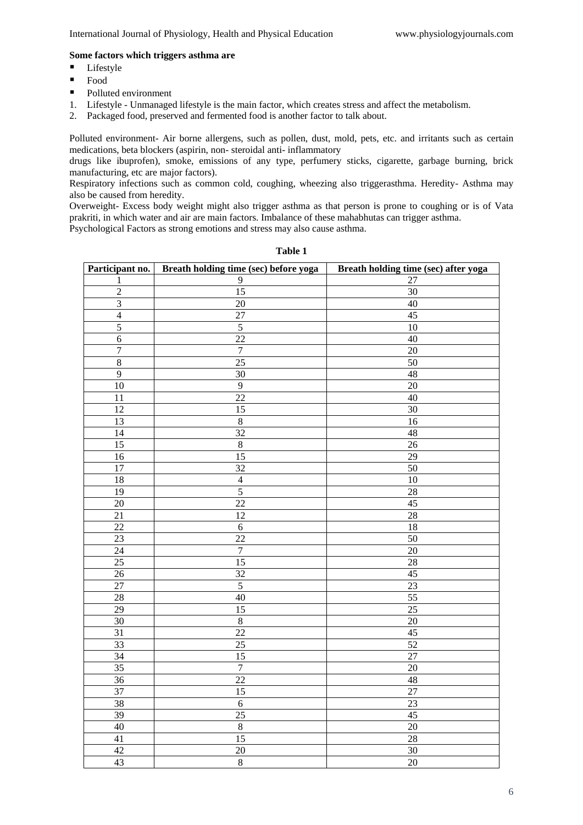## **Some factors which triggers asthma are**

- Lifestyle
- Food
- Polluted environment
- 1. Lifestyle Unmanaged lifestyle is the main factor, which creates stress and affect the metabolism.
- 2. Packaged food, preserved and fermented food is another factor to talk about.

Polluted environment- Air borne allergens, such as pollen, dust, mold, pets, etc. and irritants such as certain medications, beta blockers (aspirin, non- steroidal anti- inflammatory

drugs like ibuprofen), smoke, emissions of any type, perfumery sticks, cigarette, garbage burning, brick manufacturing, etc are major factors).

Respiratory infections such as common cold, coughing, wheezing also triggerasthma. Heredity- Asthma may also be caused from heredity.

Overweight- Excess body weight might also trigger asthma as that person is prone to coughing or is of Vata prakriti, in which water and air are main factors. Imbalance of these mahabhutas can trigger asthma.

Psychological Factors as strong emotions and stress may also cause asthma.

| Participant no.    | Breath holding time (sec) before yoga | Breath holding time (sec) after yoga |  |
|--------------------|---------------------------------------|--------------------------------------|--|
| 1                  | 9                                     | 27                                   |  |
| $\overline{c}$     | 15                                    | 30                                   |  |
| 3                  | 20                                    | $40\,$                               |  |
| $\overline{4}$     | 27                                    | 45                                   |  |
| 5                  | $\sqrt{5}$                            | 10                                   |  |
| $\boldsymbol{6}$   | 22                                    | $40\,$                               |  |
| $\overline{7}$     | $\boldsymbol{7}$                      | 20                                   |  |
| $\overline{\bf 8}$ | $\overline{25}$                       | 50                                   |  |
| $\overline{9}$     | 30                                    | 48                                   |  |
| 10                 | $\overline{9}$                        | 20                                   |  |
| 11                 | 22                                    | 40                                   |  |
| 12                 | 15                                    | 30                                   |  |
| 13                 | $\,8\,$                               | 16                                   |  |
| 14                 | 32                                    | $\sqrt{48}$                          |  |
| 15                 | $\,8\,$                               | $26\,$                               |  |
| 16                 | $\overline{15}$                       | 29                                   |  |
| $\overline{17}$    | $\overline{32}$                       | 50                                   |  |
| $18\,$             | $\overline{4}$                        | $10\,$                               |  |
| $\overline{19}$    | $\overline{5}$                        | $\overline{28}$                      |  |
| $\overline{20}$    | $\overline{22}$                       | 45                                   |  |
| 21                 | 12                                    | $\overline{28}$                      |  |
| $22\,$             | $\sqrt{6}$                            | 18                                   |  |
| 23                 | 22                                    | $\overline{50}$                      |  |
| 24                 | $\overline{7}$                        | $\overline{20}$                      |  |
| $\overline{25}$    | $\overline{15}$                       | 28                                   |  |
| $26\,$             | $\overline{32}$                       | $45\,$                               |  |
| 27                 | $\overline{5}$                        | 23                                   |  |
| 28                 | 40                                    | $\overline{55}$                      |  |
| $\overline{29}$    | $\overline{15}$                       | $\overline{25}$                      |  |
| $\overline{30}$    | $\overline{8}$                        | $20\,$                               |  |
| $\overline{31}$    | $\overline{22}$                       | 45                                   |  |
| 33                 | $\overline{25}$                       | 52                                   |  |
| 34                 | $\overline{15}$                       | $27\,$                               |  |
| 35                 | $\boldsymbol{7}$                      | $20\,$                               |  |
| 36                 | 22                                    | 48                                   |  |
| 37                 | $\overline{15}$                       | $\overline{27}$                      |  |
| 38                 | $\sqrt{6}$                            | 23                                   |  |
| 39                 | 25                                    | $\overline{45}$                      |  |
| 40                 | $\sqrt{8}$                            | 20                                   |  |
| 41                 | 15                                    | 28                                   |  |
| 42                 | 20                                    | $30\,$                               |  |
| $\overline{43}$    | $\overline{8}$                        | 20                                   |  |

**Table 1**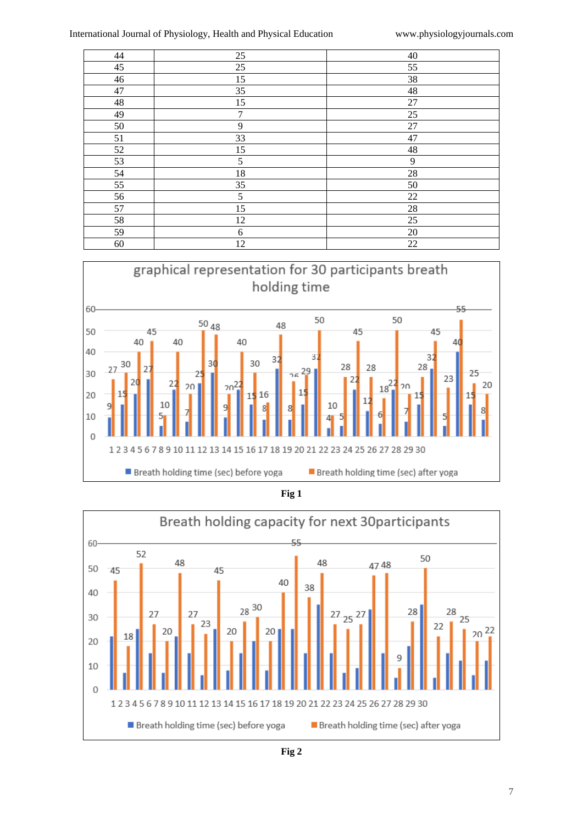| 44          | $25\,$           | 40     |
|-------------|------------------|--------|
| 45          | $25\,$           | 55     |
| 46          | 15               | 38     |
| 47          | 35               | 48     |
| $\sqrt{48}$ | 15               | 27     |
| 49          | $\boldsymbol{7}$ | 25     |
| 50          | 9                | $27\,$ |
| 51          | 33               | 47     |
| 52          | 15               | 48     |
| 53          | 5                | 9      |
| 54          | 18               | $28\,$ |
| 55          | 35               | 50     |
| 56          | $\sqrt{5}$       | 22     |
| 57          | 15               | $28\,$ |
| 58          | 12               | 25     |
| 59          | 6                | 20     |
| 60          | 12               | 22     |



**Fig 1**